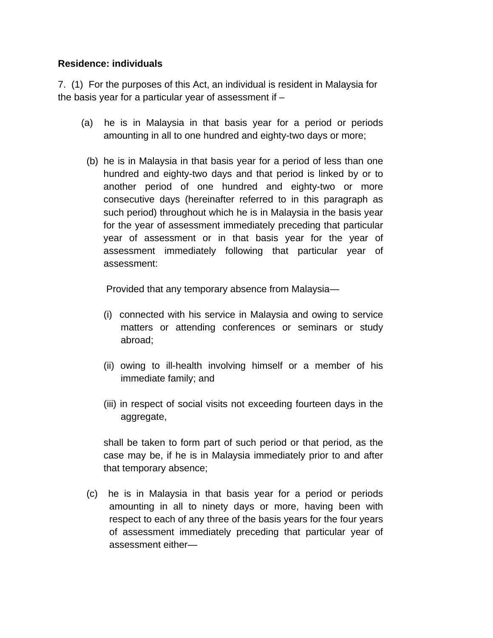## **Residence: individuals**

7. (1) For the purposes of this Act, an individual is resident in Malaysia for the basis year for a particular year of assessment if –

- (a) he is in Malaysia in that basis year for a period or periods amounting in all to one hundred and eighty-two days or more;
- (b) he is in Malaysia in that basis year for a period of less than one hundred and eighty-two days and that period is linked by or to another period of one hundred and eighty-two or more consecutive days (hereinafter referred to in this paragraph as such period) throughout which he is in Malaysia in the basis year for the year of assessment immediately preceding that particular year of assessment or in that basis year for the year of assessment immediately following that particular year of assessment:

Provided that any temporary absence from Malaysia—

- (i) connected with his service in Malaysia and owing to service matters or attending conferences or seminars or study abroad;
- (ii) owing to ill-health involving himself or a member of his immediate family; and
- (iii) in respect of social visits not exceeding fourteen days in the aggregate,

shall be taken to form part of such period or that period, as the case may be, if he is in Malaysia immediately prior to and after that temporary absence;

(c) he is in Malaysia in that basis year for a period or periods amounting in all to ninety days or more, having been with respect to each of any three of the basis years for the four years of assessment immediately preceding that particular year of assessment either—